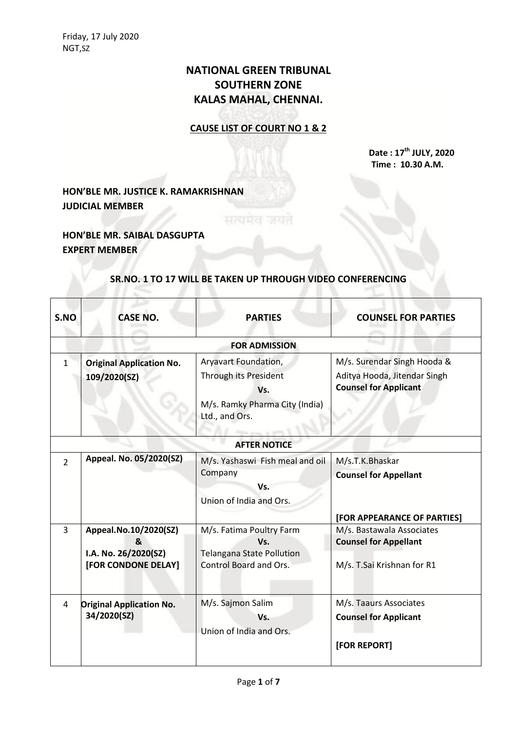# **NATIONAL GREEN TRIBUNAL SOUTHERN ZONE KALAS MAHAL, CHENNAI.**

#### **CAUSE LIST OF COURT NO 1 & 2**

**Date : 17th JULY, 2020 Time : 10.30 A.M.**

### **HON'BLE MR. JUSTICE K. RAMAKRISHNAN JUDICIAL MEMBER**

## **HON'BLE MR. SAIBAL DASGUPTA EXPERT MEMBER**

#### **SR.NO. 1 TO 17 WILL BE TAKEN UP THROUGH VIDEO CONFERENCING**

सत्यमेव जयत

| S.NO                | <b>CASE NO.</b>                                                           | <b>PARTIES</b>                                                                                           | <b>COUNSEL FOR PARTIES</b>                                                                  |
|---------------------|---------------------------------------------------------------------------|----------------------------------------------------------------------------------------------------------|---------------------------------------------------------------------------------------------|
|                     |                                                                           | <b>FOR ADMISSION</b>                                                                                     |                                                                                             |
| $\mathbf{1}$        | <b>Original Application No.</b><br>109/2020(SZ)                           | Aryavart Foundation,<br>Through its President<br>Vs.<br>M/s. Ramky Pharma City (India)<br>Ltd., and Ors. | M/s. Surendar Singh Hooda &<br>Aditya Hooda, Jitendar Singh<br><b>Counsel for Applicant</b> |
| <b>AFTER NOTICE</b> |                                                                           |                                                                                                          |                                                                                             |
| $\overline{2}$      | Appeal. No. 05/2020(SZ)                                                   | M/s. Yashaswi Fish meal and oil<br>Company<br>Vs.<br>Union of India and Ors.                             | M/s.T.K.Bhaskar<br><b>Counsel for Appellant</b><br>[FOR APPEARANCE OF PARTIES]              |
| 3                   | Appeal.No.10/2020(SZ)<br>&<br>I.A. No. 26/2020(SZ)<br>[FOR CONDONE DELAY] | M/s. Fatima Poultry Farm<br>Vs.<br><b>Telangana State Pollution</b><br>Control Board and Ors.            | M/s. Bastawala Associates<br><b>Counsel for Appellant</b><br>M/s. T.Sai Krishnan for R1     |
| 4                   | <b>Original Application No.</b><br>34/2020(SZ)                            | M/s. Sajmon Salim<br>Vs.<br>Union of India and Ors.                                                      | M/s. Taaurs Associates<br><b>Counsel for Applicant</b><br>[FOR REPORT]                      |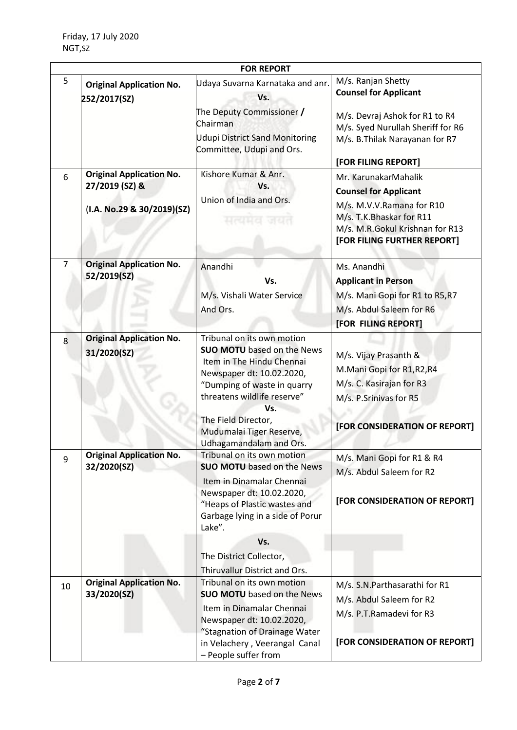| <b>FOR REPORT</b> |                                                                                 |                                                                                                                                                                                                                                                                              |                                                                                                                                                                                     |
|-------------------|---------------------------------------------------------------------------------|------------------------------------------------------------------------------------------------------------------------------------------------------------------------------------------------------------------------------------------------------------------------------|-------------------------------------------------------------------------------------------------------------------------------------------------------------------------------------|
| 5                 | <b>Original Application No.</b><br>252/2017(SZ)                                 | Udaya Suvarna Karnataka and anr.<br>Vs.<br>The Deputy Commissioner /<br>Chairman<br><b>Udupi District Sand Monitoring</b><br>Committee, Udupi and Ors.                                                                                                                       | M/s. Ranjan Shetty<br><b>Counsel for Applicant</b><br>M/s. Devraj Ashok for R1 to R4<br>M/s. Syed Nurullah Sheriff for R6<br>M/s. B. Thilak Narayanan for R7<br>[FOR FILING REPORT] |
| 6                 | <b>Original Application No.</b><br>27/2019 (SZ) &<br>(I.A. No.29 & 30/2019)(SZ) | Kishore Kumar & Anr.<br>Vs.<br>Union of India and Ors.<br>सत्यमदा जस्र                                                                                                                                                                                                       | Mr. KarunakarMahalik<br><b>Counsel for Applicant</b><br>M/s. M.V.V.Ramana for R10<br>M/s. T.K.Bhaskar for R11<br>M/s. M.R.Gokul Krishnan for R13<br>[FOR FILING FURTHER REPORT]     |
| $\overline{7}$    | <b>Original Application No.</b><br>52/2019(SZ)                                  | Anandhi<br>Vs.<br>M/s. Vishali Water Service<br>And Ors.                                                                                                                                                                                                                     | Ms. Anandhi<br><b>Applicant in Person</b><br>M/s. Mani Gopi for R1 to R5, R7<br>M/s. Abdul Saleem for R6<br>[FOR FILING REPORT]                                                     |
| 8                 | <b>Original Application No.</b><br>31/2020(SZ)                                  | Tribunal on its own motion<br><b>SUO MOTU</b> based on the News<br>Item in The Hindu Chennai<br>Newspaper dt: 10.02.2020,<br>"Dumping of waste in quarry<br>threatens wildlife reserve"<br>Vs.<br>The Field Director,<br>Mudumalai Tiger Reserve,<br>Udhagamandalam and Ors. | M/s. Vijay Prasanth &<br>M.Mani Gopi for R1, R2, R4<br>M/s. C. Kasirajan for R3<br>M/s. P.Srinivas for R5<br>[FOR CONSIDERATION OF REPORT]                                          |
| 9                 | <b>Original Application No.</b><br>32/2020(SZ)                                  | Tribunal on its own motion<br><b>SUO MOTU</b> based on the News<br>Item in Dinamalar Chennai<br>Newspaper dt: 10.02.2020,<br>"Heaps of Plastic wastes and<br>Garbage lying in a side of Porur<br>Lake".                                                                      | M/s. Mani Gopi for R1 & R4<br>M/s. Abdul Saleem for R2<br>[FOR CONSIDERATION OF REPORT]                                                                                             |
|                   |                                                                                 | Vs.<br>The District Collector,<br>Thiruvallur District and Ors.                                                                                                                                                                                                              |                                                                                                                                                                                     |
| 10                | <b>Original Application No.</b><br>33/2020(SZ)                                  | Tribunal on its own motion<br><b>SUO MOTU</b> based on the News<br>Item in Dinamalar Chennai<br>Newspaper dt: 10.02.2020,<br>"Stagnation of Drainage Water<br>in Velachery, Veerangal Canal                                                                                  | M/s. S.N.Parthasarathi for R1<br>M/s. Abdul Saleem for R2<br>M/s. P.T.Ramadevi for R3<br>[FOR CONSIDERATION OF REPORT]                                                              |
|                   |                                                                                 | - People suffer from                                                                                                                                                                                                                                                         |                                                                                                                                                                                     |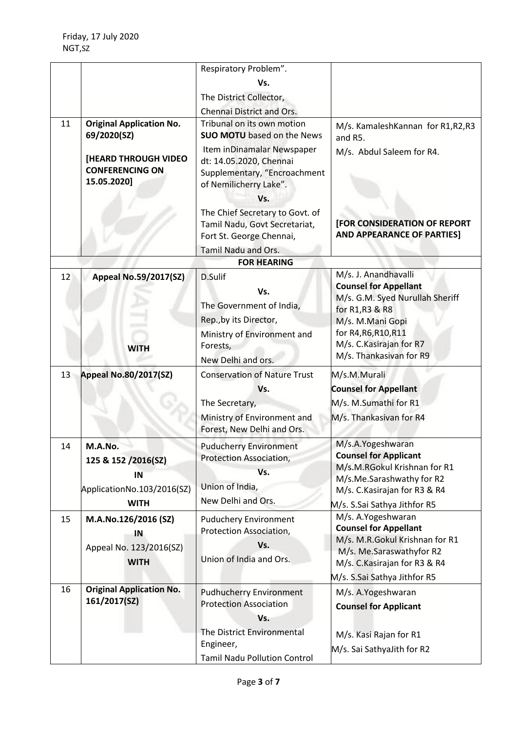|    |                                                                                   | Respiratory Problem".                                                                                                     |                                                                                                                                                                                   |
|----|-----------------------------------------------------------------------------------|---------------------------------------------------------------------------------------------------------------------------|-----------------------------------------------------------------------------------------------------------------------------------------------------------------------------------|
|    |                                                                                   | Vs.                                                                                                                       |                                                                                                                                                                                   |
|    |                                                                                   | The District Collector,                                                                                                   |                                                                                                                                                                                   |
|    |                                                                                   | Chennai District and Ors.                                                                                                 |                                                                                                                                                                                   |
| 11 | <b>Original Application No.</b>                                                   | Tribunal on its own motion                                                                                                | M/s. KamaleshKannan for R1,R2,R3                                                                                                                                                  |
|    | 69/2020(SZ)                                                                       | <b>SUO MOTU</b> based on the News                                                                                         | and R5.                                                                                                                                                                           |
|    | <b>[HEARD THROUGH VIDEO</b><br><b>CONFERENCING ON</b><br>15.05.2020]              | Item inDinamalar Newspaper<br>dt: 14.05.2020, Chennai<br>Supplementary, "Encroachment<br>of Nemilicherry Lake".<br>Vs.    | M/s. Abdul Saleem for R4.                                                                                                                                                         |
|    |                                                                                   | The Chief Secretary to Govt. of<br>Tamil Nadu, Govt Secretariat,<br>Fort St. George Chennai,                              | <b>[FOR CONSIDERATION OF REPORT</b><br><b>AND APPEARANCE OF PARTIES]</b>                                                                                                          |
|    |                                                                                   | Tamil Nadu and Ors.                                                                                                       |                                                                                                                                                                                   |
|    |                                                                                   | <b>FOR HEARING</b>                                                                                                        |                                                                                                                                                                                   |
| 12 | <b>Appeal No.59/2017(SZ)</b>                                                      | D.Sulif<br>Vs.<br>The Government of India,<br>Rep., by its Director,                                                      | M/s. J. Anandhavalli<br><b>Counsel for Appellant</b><br>M/s. G.M. Syed Nurullah Sheriff<br>for R1, R3 & R8<br>M/s. M.Mani Gopi<br>for R4, R6, R10, R11                            |
|    | <b>WITH</b>                                                                       | Ministry of Environment and<br>Forests,<br>New Delhi and ors.                                                             | M/s. C. Kasirajan for R7<br>M/s. Thankasivan for R9                                                                                                                               |
| 13 | <b>Appeal No.80/2017(SZ)</b>                                                      | <b>Conservation of Nature Trust</b><br>Vs.<br>The Secretary,<br>Ministry of Environment and<br>Forest, New Delhi and Ors. | M/s.M.Murali<br><b>Counsel for Appellant</b><br>M/s. M.Sumathi for R1<br>M/s. Thankasivan for R4                                                                                  |
| 14 | M.A.No.<br>125 & 152 /2016(SZ)<br>IN<br>ApplicationNo.103/2016(SZ)<br><b>WITH</b> | <b>Puducherry Environment</b><br>Protection Association,<br>Vs.<br>Union of India,<br>New Delhi and Ors.                  | M/s.A.Yogeshwaran<br><b>Counsel for Applicant</b><br>M/s.M.RGokul Krishnan for R1<br>M/s.Me.Sarashwathy for R2<br>M/s. C. Kasirajan for R3 & R4<br>M/s. S.Sai Sathya Jithfor R5   |
| 15 | M.A.No.126/2016 (SZ)<br>IN<br>Appeal No. 123/2016(SZ)<br><b>WITH</b>              | <b>Puduchery Environment</b><br>Protection Association,<br>Vs.<br>Union of India and Ors.                                 | M/s. A.Yogeshwaran<br><b>Counsel for Appellant</b><br>M/s. M.R.Gokul Krishnan for R1<br>M/s. Me.Saraswathyfor R2<br>M/s. C. Kasirajan for R3 & R4<br>M/s. S.Sai Sathya Jithfor R5 |
| 16 | <b>Original Application No.</b><br>161/2017(SZ)                                   | <b>Pudhucherry Environment</b><br><b>Protection Association</b><br>Vs.                                                    | M/s. A.Yogeshwaran<br><b>Counsel for Applicant</b>                                                                                                                                |
|    |                                                                                   | The District Environmental<br>Engineer,<br><b>Tamil Nadu Pollution Control</b>                                            | M/s. Kasi Rajan for R1<br>M/s. Sai SathyaJith for R2                                                                                                                              |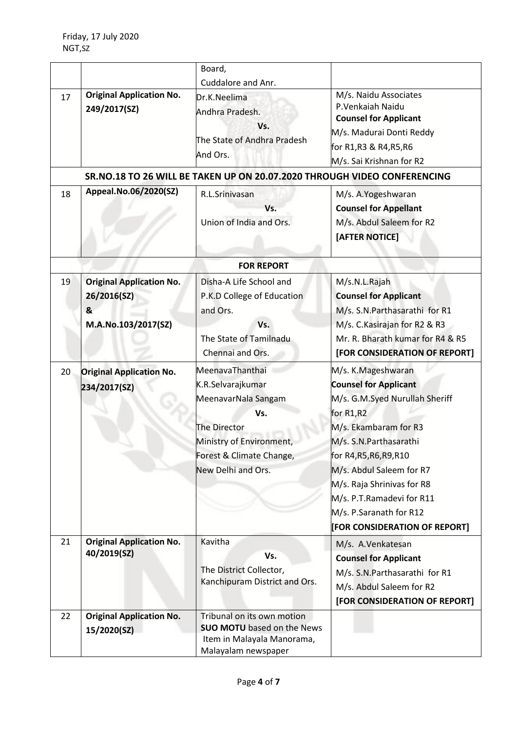|    |                                                     | Board,                                                                                                                                                           |                                                                                                                                                                                                                                                                                                                                    |
|----|-----------------------------------------------------|------------------------------------------------------------------------------------------------------------------------------------------------------------------|------------------------------------------------------------------------------------------------------------------------------------------------------------------------------------------------------------------------------------------------------------------------------------------------------------------------------------|
|    |                                                     | Cuddalore and Anr.                                                                                                                                               |                                                                                                                                                                                                                                                                                                                                    |
| 17 | <b>Original Application No.</b><br>249/2017(SZ)     | Dr.K.Neelima<br>Andhra Pradesh.<br>Vs.                                                                                                                           | M/s. Naidu Associates<br>P.Venkaiah Naidu<br><b>Counsel for Applicant</b><br>M/s. Madurai Donti Reddy                                                                                                                                                                                                                              |
|    |                                                     | The State of Andhra Pradesh                                                                                                                                      | for R1,R3 & R4,R5,R6                                                                                                                                                                                                                                                                                                               |
|    |                                                     | And Ors.                                                                                                                                                         | M/s. Sai Krishnan for R2                                                                                                                                                                                                                                                                                                           |
|    |                                                     | SR.NO.18 TO 26 WILL BE TAKEN UP ON 20.07.2020 THROUGH VIDEO CONFERENCING                                                                                         |                                                                                                                                                                                                                                                                                                                                    |
| 18 | Appeal.No.06/2020(SZ)                               | R.L.Srinivasan<br>Vs.<br>Union of India and Ors.                                                                                                                 | M/s. A.Yogeshwaran<br><b>Counsel for Appellant</b><br>M/s. Abdul Saleem for R2<br>[AFTER NOTICE]                                                                                                                                                                                                                                   |
|    |                                                     | <b>FOR REPORT</b>                                                                                                                                                |                                                                                                                                                                                                                                                                                                                                    |
| 19 | <b>Original Application No.</b><br>26/2016(SZ)<br>& | Disha-A Life School and<br>P.K.D College of Education<br>and Ors.                                                                                                | M/s.N.L.Rajah<br><b>Counsel for Applicant</b><br>M/s. S.N.Parthasarathi for R1                                                                                                                                                                                                                                                     |
|    | M.A.No.103/2017(SZ)                                 | Vs.<br>The State of Tamilnadu<br>Chennai and Ors.                                                                                                                | M/s. C. Kasirajan for R2 & R3<br>Mr. R. Bharath kumar for R4 & R5<br>[FOR CONSIDERATION OF REPORT]                                                                                                                                                                                                                                 |
| 20 | <b>Original Application No.</b><br>234/2017(SZ)     | MeenavaThanthai<br>K.R.Selvarajkumar<br>MeenavarNala Sangam<br>Vs.<br>The Director<br>Ministry of Environment,<br>Forest & Climate Change,<br>New Delhi and Ors. | M/s. K.Mageshwaran<br><b>Counsel for Applicant</b><br>M/s. G.M.Syed Nurullah Sheriff<br>for R1,R2<br>M/s. Ekambaram for R3<br>M/s. S.N.Parthasarathi<br>for R4, R5, R6, R9, R10<br>M/s. Abdul Saleem for R7<br>M/s. Raja Shrinivas for R8<br>M/s. P.T.Ramadevi for R11<br>M/s. P.Saranath for R12<br>[FOR CONSIDERATION OF REPORT] |
| 21 | <b>Original Application No.</b><br>40/2019(SZ)      | Kavitha<br>Vs.<br>The District Collector,<br>Kanchipuram District and Ors.                                                                                       | M/s. A.Venkatesan<br><b>Counsel for Applicant</b><br>M/s. S.N.Parthasarathi for R1<br>M/s. Abdul Saleem for R2<br>[FOR CONSIDERATION OF REPORT]                                                                                                                                                                                    |
| 22 | <b>Original Application No.</b><br>15/2020(SZ)      | Tribunal on its own motion<br><b>SUO MOTU</b> based on the News<br>Item in Malayala Manorama,<br>Malayalam newspaper                                             |                                                                                                                                                                                                                                                                                                                                    |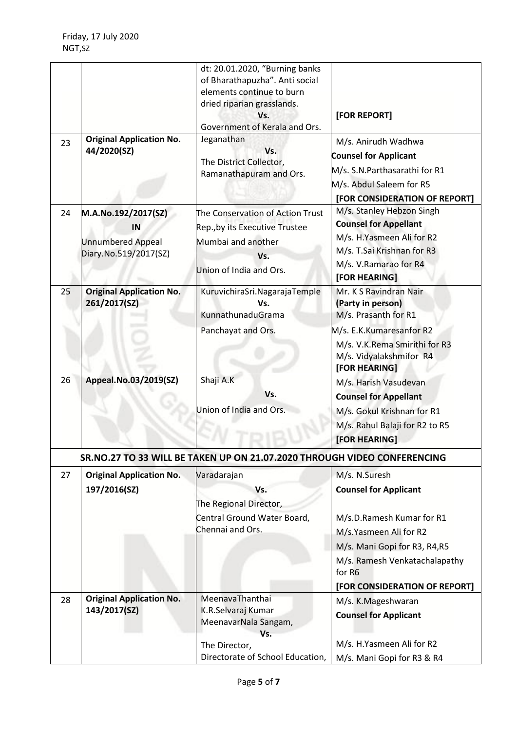|    |                                                                                | dt: 20.01.2020, "Burning banks<br>of Bharathapuzha". Anti social<br>elements continue to burn<br>dried riparian grasslands.<br>Vs.<br>Government of Kerala and Ors. | [FOR REPORT]                                                                                                                                                                                                     |
|----|--------------------------------------------------------------------------------|---------------------------------------------------------------------------------------------------------------------------------------------------------------------|------------------------------------------------------------------------------------------------------------------------------------------------------------------------------------------------------------------|
| 23 | <b>Original Application No.</b><br>44/2020(SZ)                                 | Jeganathan<br>Vs.<br>The District Collector,<br>Ramanathapuram and Ors.                                                                                             | M/s. Anirudh Wadhwa<br><b>Counsel for Applicant</b><br>M/s. S.N.Parthasarathi for R1<br>M/s. Abdul Saleem for R5<br>[FOR CONSIDERATION OF REPORT]                                                                |
| 24 | M.A.No.192/2017(SZ)<br>IN<br><b>Unnumbered Appeal</b><br>Diary.No.519/2017(SZ) | The Conservation of Action Trust<br>Rep., by its Executive Trustee<br>Mumbai and another<br>Vs.<br>Union of India and Ors.                                          | M/s. Stanley Hebzon Singh<br><b>Counsel for Appellant</b><br>M/s. H.Yasmeen Ali for R2<br>M/s. T.Sai Krishnan for R3<br>M/s. V.Ramarao for R4<br>[FOR HEARING]                                                   |
| 25 | <b>Original Application No.</b><br>261/2017(SZ)                                | KuruvichiraSri.NagarajaTemple<br>Vs.<br>KunnathunaduGrama<br>Panchayat and Ors.                                                                                     | Mr. K S Ravindran Nair<br>(Party in person)<br>M/s. Prasanth for R1<br>M/s. E.K.Kumaresanfor R2<br>M/s. V.K.Rema Smirithi for R3<br>M/s. Vidyalakshmifor R4<br>[FOR HEARING]                                     |
| 26 | Appeal.No.03/2019(SZ)                                                          | Shaji A.K<br>Vs.<br>Jnion of India and Ors.                                                                                                                         | M/s. Harish Vasudevan<br><b>Counsel for Appellant</b><br>M/s. Gokul Krishnan for R1<br>M/s. Rahul Balaji for R2 to R5<br>[FOR HEARING]                                                                           |
|    |                                                                                | SR.NO.27 TO 33 WILL BE TAKEN UP ON 21.07.2020 THROUGH VIDEO CONFERENCING                                                                                            |                                                                                                                                                                                                                  |
| 27 | <b>Original Application No.</b><br>197/2016(SZ)                                | Varadarajan<br>Vs.<br>The Regional Director,<br>Central Ground Water Board,<br>Chennai and Ors.                                                                     | M/s. N.Suresh<br><b>Counsel for Applicant</b><br>M/s.D.Ramesh Kumar for R1<br>M/s.Yasmeen Ali for R2<br>M/s. Mani Gopi for R3, R4,R5<br>M/s. Ramesh Venkatachalapathy<br>for R6<br>[FOR CONSIDERATION OF REPORT] |
| 28 | <b>Original Application No.</b><br>143/2017(SZ)                                | MeenavaThanthai<br>K.R.Selvaraj Kumar<br>MeenavarNala Sangam,<br>Vs.<br>The Director,                                                                               | M/s. K.Mageshwaran<br><b>Counsel for Applicant</b><br>M/s. H.Yasmeen Ali for R2                                                                                                                                  |
|    |                                                                                | Directorate of School Education,                                                                                                                                    | M/s. Mani Gopi for R3 & R4                                                                                                                                                                                       |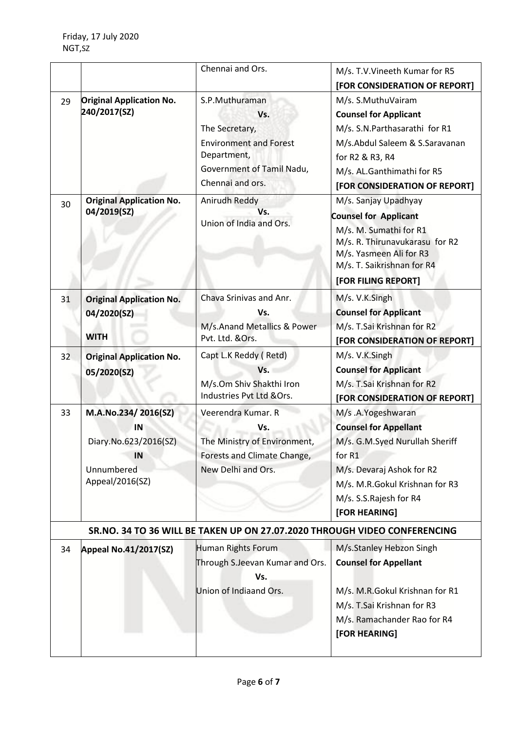|    |                                                                                           | Chennai and Ors.                                                                                                                         | M/s. T.V. Vineeth Kumar for R5<br>[FOR CONSIDERATION OF REPORT]                                                                                                                                          |  |
|----|-------------------------------------------------------------------------------------------|------------------------------------------------------------------------------------------------------------------------------------------|----------------------------------------------------------------------------------------------------------------------------------------------------------------------------------------------------------|--|
| 29 | <b>Original Application No.</b><br>240/2017(SZ)                                           | S.P.Muthuraman<br>Vs.<br>The Secretary,<br><b>Environment and Forest</b><br>Department,<br>Government of Tamil Nadu,<br>Chennai and ors. | M/s. S.MuthuVairam<br><b>Counsel for Applicant</b><br>M/s. S.N.Parthasarathi for R1<br>M/s.Abdul Saleem & S.Saravanan<br>for R2 & R3, R4<br>M/s. AL.Ganthimathi for R5<br>[FOR CONSIDERATION OF REPORT]  |  |
| 30 | <b>Original Application No.</b><br>04/2019(SZ)                                            | Anirudh Reddy<br>Vs.<br>Union of India and Ors.                                                                                          | M/s. Sanjay Upadhyay<br><b>Counsel for Applicant</b><br>M/s. M. Sumathi for R1<br>M/s. R. Thirunavukarasu for R2<br>M/s. Yasmeen Ali for R3<br>M/s. T. Saikrishnan for R4<br>[FOR FILING REPORT]         |  |
| 31 | <b>Original Application No.</b><br>04/2020(SZ)<br><b>WITH</b>                             | Chava Srinivas and Anr.<br>Vs.<br>M/s.Anand Metallics & Power<br>Pvt. Ltd. &Ors.                                                         | M/s. V.K.Singh<br><b>Counsel for Applicant</b><br>M/s. T.Sai Krishnan for R2<br>[FOR CONSIDERATION OF REPORT]                                                                                            |  |
| 32 | <b>Original Application No.</b><br>05/2020(SZ)                                            | Capt L.K Reddy (Retd)<br>Vs.<br>M/s.Om Shiv Shakthi Iron<br>Industries Pvt Ltd &Ors.                                                     | M/s. V.K.Singh<br><b>Counsel for Applicant</b><br>M/s. T.Sai Krishnan for R2<br>[FOR CONSIDERATION OF REPORT]                                                                                            |  |
| 33 | M.A.No.234/2016(SZ)<br>IN<br>Diary.No.623/2016(SZ)<br>IN<br>Unnumbered<br>Appeal/2016(SZ) | Veerendra Kumar. R<br>Vs.<br>The Ministry of Environment,<br>Forests and Climate Change,<br>New Delhi and Ors.                           | M/s .A.Yogeshwaran<br><b>Counsel for Appellant</b><br>M/s. G.M.Syed Nurullah Sheriff<br>for R1<br>M/s. Devaraj Ashok for R2<br>M/s. M.R.Gokul Krishnan for R3<br>M/s. S.S.Rajesh for R4<br>[FOR HEARING] |  |
|    | SR.NO. 34 TO 36 WILL BE TAKEN UP ON 27.07.2020 THROUGH VIDEO CONFERENCING                 |                                                                                                                                          |                                                                                                                                                                                                          |  |
| 34 | <b>Appeal No.41/2017(SZ)</b>                                                              | Human Rights Forum<br>Through S.Jeevan Kumar and Ors.<br>Vs.<br>Union of Indiaand Ors.                                                   | M/s.Stanley Hebzon Singh<br><b>Counsel for Appellant</b><br>M/s. M.R.Gokul Krishnan for R1<br>M/s. T.Sai Krishnan for R3<br>M/s. Ramachander Rao for R4<br>[FOR HEARING]                                 |  |